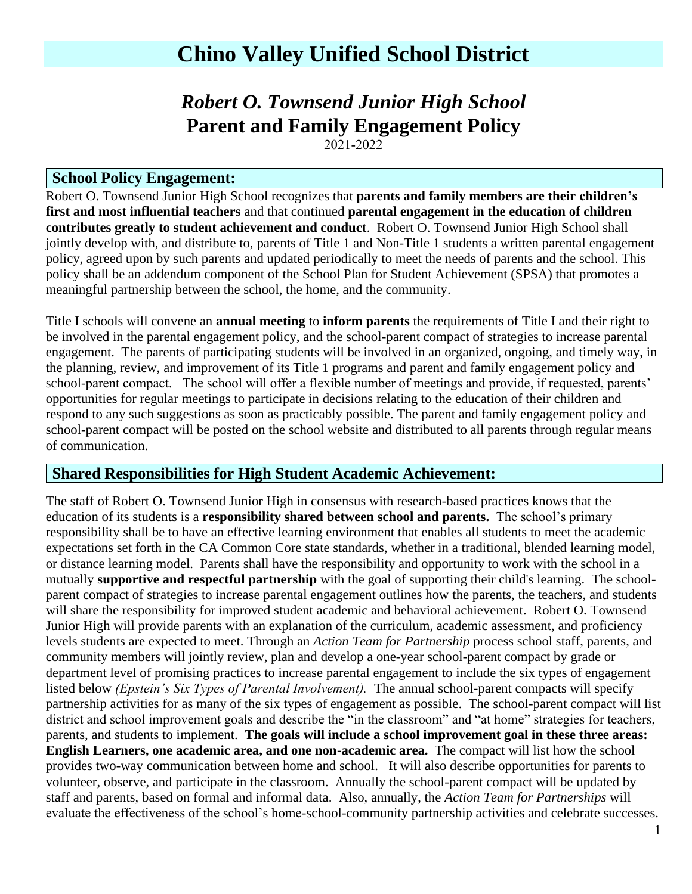# **Chino Valley Unified School District**

# *Robert O. Townsend Junior High School* **Parent and Family Engagement Policy**

2021-2022

### **School Policy Engagement:**

Robert O. Townsend Junior High School recognizes that **parents and family members are their children's first and most influential teachers** and that continued **parental engagement in the education of children contributes greatly to student achievement and conduct**. Robert O. Townsend Junior High School shall jointly develop with, and distribute to, parents of Title 1 and Non-Title 1 students a written parental engagement policy, agreed upon by such parents and updated periodically to meet the needs of parents and the school. This policy shall be an addendum component of the School Plan for Student Achievement (SPSA) that promotes a meaningful partnership between the school, the home, and the community.

Title I schools will convene an **annual meeting** to **inform parents** the requirements of Title I and their right to be involved in the parental engagement policy, and the school-parent compact of strategies to increase parental engagement. The parents of participating students will be involved in an organized, ongoing, and timely way, in the planning, review, and improvement of its Title 1 programs and parent and family engagement policy and school-parent compact. The school will offer a flexible number of meetings and provide, if requested, parents' opportunities for regular meetings to participate in decisions relating to the education of their children and respond to any such suggestions as soon as practicably possible. The parent and family engagement policy and school-parent compact will be posted on the school website and distributed to all parents through regular means of communication.

### **Shared Responsibilities for High Student Academic Achievement:**

The staff of Robert O. Townsend Junior High in consensus with research-based practices knows that the education of its students is a **responsibility shared between school and parents.** The school's primary responsibility shall be to have an effective learning environment that enables all students to meet the academic expectations set forth in the CA Common Core state standards, whether in a traditional, blended learning model, or distance learning model. Parents shall have the responsibility and opportunity to work with the school in a mutually **supportive and respectful partnership** with the goal of supporting their child's learning. The schoolparent compact of strategies to increase parental engagement outlines how the parents, the teachers, and students will share the responsibility for improved student academic and behavioral achievement. Robert O. Townsend Junior High will provide parents with an explanation of the curriculum, academic assessment, and proficiency levels students are expected to meet. Through an *Action Team for Partnership* process school staff, parents, and community members will jointly review, plan and develop a one-year school-parent compact by grade or department level of promising practices to increase parental engagement to include the six types of engagement listed below *(Epstein's Six Types of Parental Involvement).* The annual school-parent compacts will specify partnership activities for as many of the six types of engagement as possible. The school-parent compact will list district and school improvement goals and describe the "in the classroom" and "at home" strategies for teachers, parents, and students to implement. **The goals will include a school improvement goal in these three areas: English Learners, one academic area, and one non-academic area.** The compact will list how the school provides two-way communication between home and school. It will also describe opportunities for parents to volunteer, observe, and participate in the classroom. Annually the school-parent compact will be updated by staff and parents, based on formal and informal data. Also, annually, the *Action Team for Partnerships* will evaluate the effectiveness of the school's home-school-community partnership activities and celebrate successes.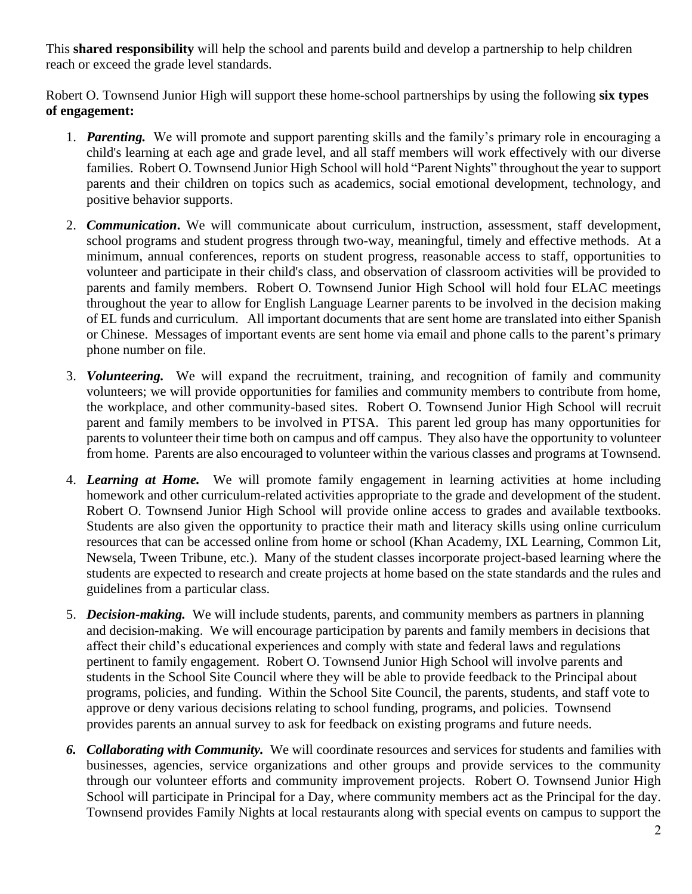This **shared responsibility** will help the school and parents build and develop a partnership to help children reach or exceed the grade level standards.

Robert O. Townsend Junior High will support these home-school partnerships by using the following **six types of engagement:**

- 1. *Parenting.*We will promote and support parenting skills and the family's primary role in encouraging a child's learning at each age and grade level, and all staff members will work effectively with our diverse families. Robert O. Townsend Junior High School will hold "Parent Nights" throughout the year to support parents and their children on topics such as academics, social emotional development, technology, and positive behavior supports.
- 2. *Communication***.** We will communicate about curriculum, instruction, assessment, staff development, school programs and student progress through two-way, meaningful, timely and effective methods. At a minimum, annual conferences, reports on student progress, reasonable access to staff, opportunities to volunteer and participate in their child's class, and observation of classroom activities will be provided to parents and family members. Robert O. Townsend Junior High School will hold four ELAC meetings throughout the year to allow for English Language Learner parents to be involved in the decision making of EL funds and curriculum. All important documents that are sent home are translated into either Spanish or Chinese. Messages of important events are sent home via email and phone calls to the parent's primary phone number on file.
- 3. *Volunteering.*We will expand the recruitment, training, and recognition of family and community volunteers; we will provide opportunities for families and community members to contribute from home, the workplace, and other community-based sites. Robert O. Townsend Junior High School will recruit parent and family members to be involved in PTSA. This parent led group has many opportunities for parents to volunteer their time both on campus and off campus. They also have the opportunity to volunteer from home. Parents are also encouraged to volunteer within the various classes and programs at Townsend.
- 4. *Learning at Home.*We will promote family engagement in learning activities at home including homework and other curriculum-related activities appropriate to the grade and development of the student. Robert O. Townsend Junior High School will provide online access to grades and available textbooks. Students are also given the opportunity to practice their math and literacy skills using online curriculum resources that can be accessed online from home or school (Khan Academy, IXL Learning, Common Lit, Newsela, Tween Tribune, etc.). Many of the student classes incorporate project-based learning where the students are expected to research and create projects at home based on the state standards and the rules and guidelines from a particular class.
- 5. *Decision-making.*We will include students, parents, and community members as partners in planning and decision-making. We will encourage participation by parents and family members in decisions that affect their child's educational experiences and comply with state and federal laws and regulations pertinent to family engagement. Robert O. Townsend Junior High School will involve parents and students in the School Site Council where they will be able to provide feedback to the Principal about programs, policies, and funding. Within the School Site Council, the parents, students, and staff vote to approve or deny various decisions relating to school funding, programs, and policies. Townsend provides parents an annual survey to ask for feedback on existing programs and future needs.
- *6. Collaborating with Community.*We will coordinate resources and services for students and families with businesses, agencies, service organizations and other groups and provide services to the community through our volunteer efforts and community improvement projects. Robert O. Townsend Junior High School will participate in Principal for a Day, where community members act as the Principal for the day. Townsend provides Family Nights at local restaurants along with special events on campus to support the